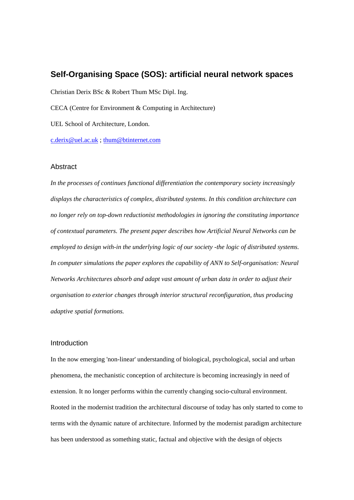# **Self-Organising Space (SOS): artificial neural network spaces**

Christian Derix BSc & Robert Thum MSc Dipl. Ing.

CECA (Centre for Environment & Computing in Architecture)

UEL School of Architecture, London.

c.derix@uel.ac.uk ; thum@btinternet.com

#### **Abstract**

*In the processes of continues functional differentiation the contemporary society increasingly displays the characteristics of complex, distributed systems. In this condition architecture can no longer rely on top-down reductionist methodologies in ignoring the constituting importance of contextual parameters. The present paper describes how Artificial Neural Networks can be employed to design with-in the underlying logic of our society -the logic of distributed systems. In computer simulations the paper explores the capability of ANN to Self-organisation: Neural Networks Architectures absorb and adapt vast amount of urban data in order to adjust their organisation to exterior changes through interior structural reconfiguration, thus producing adaptive spatial formations.* 

### Introduction

In the now emerging 'non-linear' understanding of biological, psychological, social and urban phenomena, the mechanistic conception of architecture is becoming increasingly in need of extension. It no longer performs within the currently changing socio-cultural environment. Rooted in the modernist tradition the architectural discourse of today has only started to come to terms with the dynamic nature of architecture. Informed by the modernist paradigm architecture has been understood as something static, factual and objective with the design of objects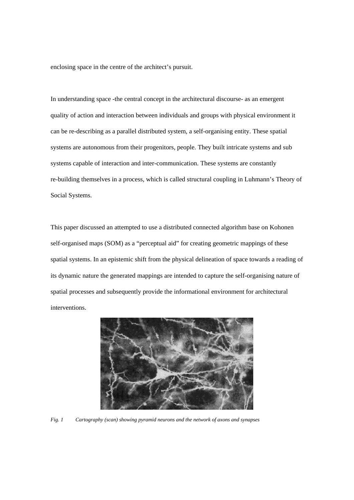enclosing space in the centre of the architect's pursuit.

In understanding space -the central concept in the architectural discourse- as an emergent quality of action and interaction between individuals and groups with physical environment it can be re-describing as a parallel distributed system, a self-organising entity. These spatial systems are autonomous from their progenitors, people. They built intricate systems and sub systems capable of interaction and inter-communication. These systems are constantly re-building themselves in a process, which is called structural coupling in Luhmann's Theory of Social Systems.

This paper discussed an attempted to use a distributed connected algorithm base on Kohonen self-organised maps (SOM) as a "perceptual aid" for creating geometric mappings of these spatial systems. In an epistemic shift from the physical delineation of space towards a reading of its dynamic nature the generated mappings are intended to capture the self-organising nature of spatial processes and subsequently provide the informational environment for architectural interventions.



*Fig. 1 Cartography (scan) showing pyramid neurons and the network of axons and synapses*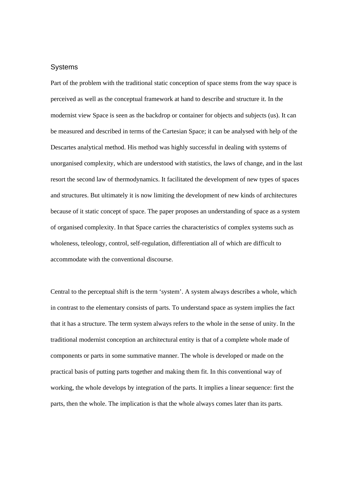### **Systems**

Part of the problem with the traditional static conception of space stems from the way space is perceived as well as the conceptual framework at hand to describe and structure it. In the modernist view Space is seen as the backdrop or container for objects and subjects (us). It can be measured and described in terms of the Cartesian Space; it can be analysed with help of the Descartes analytical method. His method was highly successful in dealing with systems of unorganised complexity, which are understood with statistics, the laws of change, and in the last resort the second law of thermodynamics. It facilitated the development of new types of spaces and structures. But ultimately it is now limiting the development of new kinds of architectures because of it static concept of space. The paper proposes an understanding of space as a system of organised complexity. In that Space carries the characteristics of complex systems such as wholeness, teleology, control, self-regulation, differentiation all of which are difficult to accommodate with the conventional discourse.

Central to the perceptual shift is the term 'system'. A system always describes a whole, which in contrast to the elementary consists of parts. To understand space as system implies the fact that it has a structure. The term system always refers to the whole in the sense of unity. In the traditional modernist conception an architectural entity is that of a complete whole made of components or parts in some summative manner. The whole is developed or made on the practical basis of putting parts together and making them fit. In this conventional way of working, the whole develops by integration of the parts. It implies a linear sequence: first the parts, then the whole. The implication is that the whole always comes later than its parts.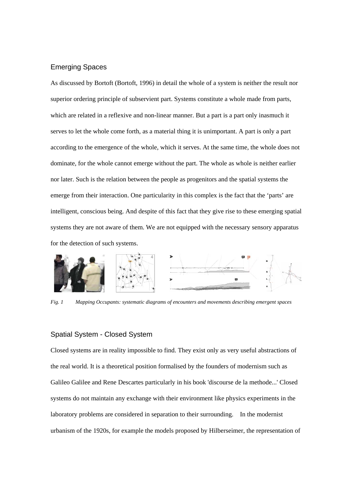## Emerging Spaces

As discussed by Bortoft (Bortoft, 1996) in detail the whole of a system is neither the result nor superior ordering principle of subservient part. Systems constitute a whole made from parts, which are related in a reflexive and non-linear manner. But a part is a part only inasmuch it serves to let the whole come forth, as a material thing it is unimportant. A part is only a part according to the emergence of the whole, which it serves. At the same time, the whole does not dominate, for the whole cannot emerge without the part. The whole as whole is neither earlier nor later. Such is the relation between the people as progenitors and the spatial systems the emerge from their interaction. One particularity in this complex is the fact that the 'parts' are intelligent, conscious being. And despite of this fact that they give rise to these emerging spatial systems they are not aware of them. We are not equipped with the necessary sensory apparatus for the detection of such systems.



*Fig. 1 Mapping Occupants: systematic diagrams of encounters and movements describing emergent spaces* 

## Spatial System - Closed System

Closed systems are in reality impossible to find. They exist only as very useful abstractions of the real world. It is a theoretical position formalised by the founders of modernism such as Galileo Galilee and Rene Descartes particularly in his book 'discourse de la methode...' Closed systems do not maintain any exchange with their environment like physics experiments in the laboratory problems are considered in separation to their surrounding. In the modernist urbanism of the 1920s, for example the models proposed by Hilberseimer, the representation of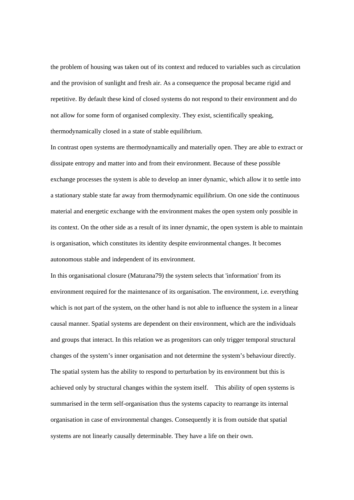the problem of housing was taken out of its context and reduced to variables such as circulation and the provision of sunlight and fresh air. As a consequence the proposal became rigid and repetitive. By default these kind of closed systems do not respond to their environment and do not allow for some form of organised complexity. They exist, scientifically speaking, thermodynamically closed in a state of stable equilibrium.

In contrast open systems are thermodynamically and materially open. They are able to extract or dissipate entropy and matter into and from their environment. Because of these possible exchange processes the system is able to develop an inner dynamic, which allow it to settle into a stationary stable state far away from thermodynamic equilibrium. On one side the continuous material and energetic exchange with the environment makes the open system only possible in its context. On the other side as a result of its inner dynamic, the open system is able to maintain is organisation, which constitutes its identity despite environmental changes. It becomes autonomous stable and independent of its environment.

In this organisational closure (Maturana79) the system selects that 'information' from its environment required for the maintenance of its organisation. The environment, i.e. everything which is not part of the system, on the other hand is not able to influence the system in a linear causal manner. Spatial systems are dependent on their environment, which are the individuals and groups that interact. In this relation we as progenitors can only trigger temporal structural changes of the system's inner organisation and not determine the system's behaviour directly. The spatial system has the ability to respond to perturbation by its environment but this is achieved only by structural changes within the system itself. This ability of open systems is summarised in the term self-organisation thus the systems capacity to rearrange its internal organisation in case of environmental changes. Consequently it is from outside that spatial systems are not linearly causally determinable. They have a life on their own.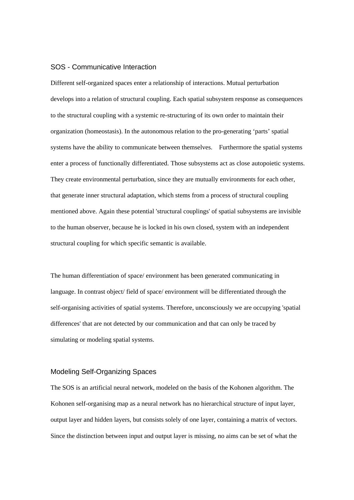### SOS - Communicative Interaction

Different self-organized spaces enter a relationship of interactions. Mutual perturbation develops into a relation of structural coupling. Each spatial subsystem response as consequences to the structural coupling with a systemic re-structuring of its own order to maintain their organization (homeostasis). In the autonomous relation to the pro-generating 'parts' spatial systems have the ability to communicate between themselves. Furthermore the spatial systems enter a process of functionally differentiated. Those subsystems act as close autopoietic systems. They create environmental perturbation, since they are mutually environments for each other, that generate inner structural adaptation, which stems from a process of structural coupling mentioned above. Again these potential 'structural couplings' of spatial subsystems are invisible to the human observer, because he is locked in his own closed, system with an independent structural coupling for which specific semantic is available.

The human differentiation of space/ environment has been generated communicating in language. In contrast object/ field of space/ environment will be differentiated through the self-organising activities of spatial systems. Therefore, unconsciously we are occupying 'spatial differences' that are not detected by our communication and that can only be traced by simulating or modeling spatial systems.

## Modeling Self-Organizing Spaces

The SOS is an artificial neural network, modeled on the basis of the Kohonen algorithm. The Kohonen self-organising map as a neural network has no hierarchical structure of input layer, output layer and hidden layers, but consists solely of one layer, containing a matrix of vectors. Since the distinction between input and output layer is missing, no aims can be set of what the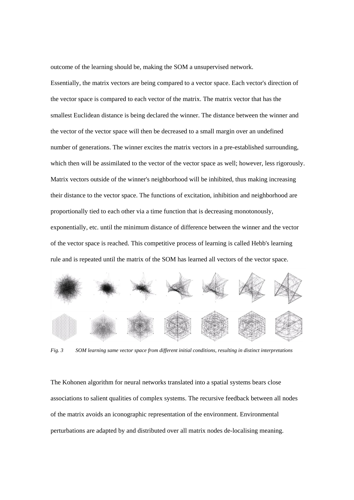outcome of the learning should be, making the SOM a unsupervised network.

Essentially, the matrix vectors are being compared to a vector space. Each vector's direction of the vector space is compared to each vector of the matrix. The matrix vector that has the smallest Euclidean distance is being declared the winner. The distance between the winner and the vector of the vector space will then be decreased to a small margin over an undefined number of generations. The winner excites the matrix vectors in a pre-established surrounding, which then will be assimilated to the vector of the vector space as well; however, less rigorously. Matrix vectors outside of the winner's neighborhood will be inhibited, thus making increasing their distance to the vector space. The functions of excitation, inhibition and neighborhood are proportionally tied to each other via a time function that is decreasing monotonously, exponentially, etc. until the minimum distance of difference between the winner and the vector of the vector space is reached. This competitive process of learning is called Hebb's learning rule and is repeated until the matrix of the SOM has learned all vectors of the vector space.



*Fig. 3 SOM learning same vector space from different initial conditions, resulting in distinct interpretations* 

The Kohonen algorithm for neural networks translated into a spatial systems bears close associations to salient qualities of complex systems. The recursive feedback between all nodes of the matrix avoids an iconographic representation of the environment. Environmental perturbations are adapted by and distributed over all matrix nodes de-localising meaning.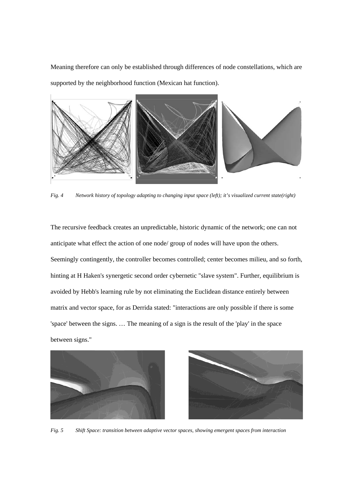Meaning therefore can only be established through differences of node constellations, which are supported by the neighborhood function (Mexican hat function).



*Fig. 4 Network history of topology adapting to changing input space (left); it's visualized current state(right)* 

The recursive feedback creates an unpredictable, historic dynamic of the network; one can not anticipate what effect the action of one node/ group of nodes will have upon the others. Seemingly contingently, the controller becomes controlled; center becomes milieu, and so forth, hinting at H Haken's synergetic second order cybernetic "slave system". Further, equilibrium is avoided by Hebb's learning rule by not eliminating the Euclidean distance entirely between matrix and vector space, for as Derrida stated: "interactions are only possible if there is some 'space' between the signs. … The meaning of a sign is the result of the 'play' in the space between signs."





*Fig. 5 Shift Space: transition between adaptive vector spaces, showing emergent spaces from interaction*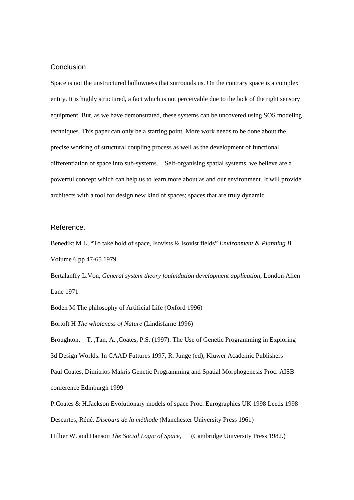### **Conclusion**

Space is not the unstructured hollowness that surrounds us. On the contrary space is a complex entity. It is highly structured, a fact which is not perceivable due to the lack of the right sensory equipment. But, as we have demonstrated, these systems can be uncovered using SOS modeling techniques. This paper can only be a starting point. More work needs to be done about the precise working of structural coupling process as well as the development of functional differentiation of space into sub-systems. Self-organising spatial systems, we believe are a powerful concept which can help us to learn more about as and our environment. It will provide architects with a tool for design new kind of spaces; spaces that are truly dynamic.

#### Reference:

Benedikt M L, "To take hold of space, Isovists & Isovist fields" *Environment & Planning B* Volume 6 pp 47-65 1979

Bertalanffy L.Von*, General system theory fouhndation development application*, London Allen Lane 1971

Boden M The philosophy of Artificial Life (Oxford 1996)

Bortoft H *The wholeness of Nature* (Lindisfarne 1996)

Broughton, T. ,Tan, A. ,Coates, P.S. (1997). The Use of Genetic Programming in Exploring 3d Design Worlds. In CAAD Futtures 1997, R. Junge (ed), Kluwer Academic Publishers Paul Coates, Dimitrios Makris Genetic Programming and Spatial Morphogenesis Proc. AISB conference Edinburgh 1999

P.Coates & H.Jackson Evolutionary models of space Proc. Eurographics UK 1998 Leeds 1998 Descartes, Réné. *Discours de la méthode* (Manchester University Press 1961) Hillier W. and Hanson *The Social Logic of Space*, (Cambridge University Press 1982.)